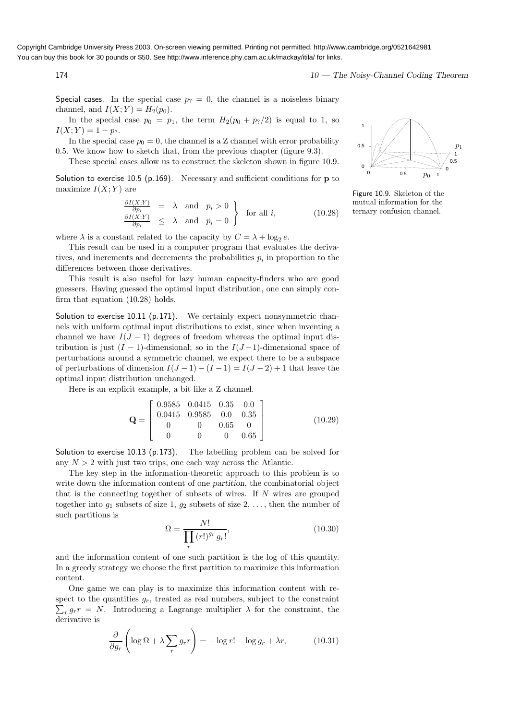Copyright Cambridge University Press 2003. On-screen viewing permitted. Printing not permitted. http://www.cambridge.org/0521642981 You can buy this book for 30 pounds or \$50. See http://www.inference.phy.cam.ac.uk/mackay/itila/ for links.

174 174 174 175 and the United States of the Noisy-Channel Coding Theorem

Special cases. In the special case  $p_2 = 0$ , the channel is a noiseless binary channel, and  $I(X; Y) = H_2(p_0)$ .

In the special case  $p_0 = p_1$ , the term  $H_2(p_0 + p_2/2)$  is equal to 1, so  $I(X;Y) = 1 - p_?$ .

In the special case  $p_0 = 0$ , the channel is a Z channel with error probability 0.5. We know how to sketch that, from the previous chapter (figure 9.3).

These special cases allow us to construct the skeleton shown in figure 10.9.

Solution to exercise 10.5 (p.169). Necessary and sufficient conditions for  $\bf{p}$  to maximize  $I(X; Y)$  are

$$
\begin{array}{rcl}\n\frac{\partial I(X;Y)}{\partial p_i} & = & \lambda \quad \text{and} \quad p_i > 0 \\
\frac{\partial I(X;Y)}{\partial p_i} & \leq & \lambda \quad \text{and} \quad p_i = 0\n\end{array}\n\bigg\} \quad \text{for all } i,\n\tag{10.28}
$$

where  $\lambda$  is a constant related to the capacity by  $C = \lambda + \log_2 e$ .

This result can be used in a computer program that evaluates the derivatives, and increments and decrements the probabilities  $p_i$  in proportion to the differences between those derivatives.

This result is also useful for lazy human capacity-finders who are good guessers. Having guessed the optimal input distribution, one can simply confirm that equation (10.28) holds.

Solution to exercise 10.11 ( $p.171$ ). We certainly expect nonsymmetric channels with uniform optimal input distributions to exist, since when inventing a channel we have  $I(J-1)$  degrees of freedom whereas the optimal input distribution is just  $(I - 1)$ -dimensional; so in the  $I(J-1)$ -dimensional space of perturbations around a symmetric channel, we expect there to be a subspace of perturbations of dimension  $I(J-1) - (I-1) = I(J-2) + 1$  that leave the optimal input distribution unchanged.

Here is an explicit example, a bit like a Z channel.

$$
\mathbf{Q} = \begin{bmatrix} 0.9585 & 0.0415 & 0.35 & 0.0 \\ 0.0415 & 0.9585 & 0.0 & 0.35 \\ 0 & 0 & 0.65 & 0 \\ 0 & 0 & 0 & 0.65 \end{bmatrix}
$$
(10.29)

Solution to exercise 10.13 (p.173). The labelling problem can be solved for any  $N > 2$  with just two trips, one each way across the Atlantic.

The key step in the information-theoretic approach to this problem is to write down the information content of one partition, the combinatorial object that is the connecting together of subsets of wires. If  $N$  wires are grouped together into  $g_1$  subsets of size 1,  $g_2$  subsets of size 2, ..., then the number of such partitions is

$$
\Omega = \frac{N!}{\prod_{r} (r!)^{g_r} g_r!},\tag{10.30}
$$

and the information content of one such partition is the log of this quantity. In a greedy strategy we choose the first partition to maximize this information content.

One game we can play is to maximize this information content with respect to the quantities  $g_r$ , treated as real numbers, subject to the constraint  $\sum_{r} g_r r = N$ . Introducing a Lagrange multiplier  $\lambda$  for the constraint, the derivative is

$$
\frac{\partial}{\partial g_r} \left( \log \Omega + \lambda \sum_r g_r r \right) = -\log r! - \log g_r + \lambda r,\tag{10.31}
$$



Figure 10.9. Skeleton of the mutual information for the ternary confusion channel.